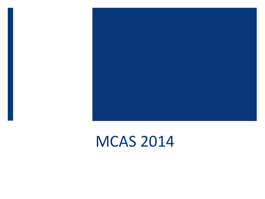

# MCAS 2014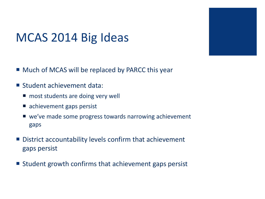## MCAS 2014 Big Ideas

- Much of MCAS will be replaced by PARCC this year
- Student achievement data:
	- most students are doing very well
	- achievement gaps persist
	- we've made some progress towards narrowing achievement gaps
- District accountability levels confirm that achievement gaps persist
- Student growth confirms that achievement gaps persist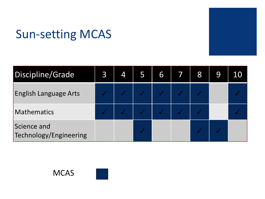## Sun-setting MCAS

| Discipline/Grade                      | 4 | 5 | 6 | 8 | 9 | 10 |
|---------------------------------------|---|---|---|---|---|----|
| <b>English Language Arts</b>          |   |   |   |   |   |    |
| <b>Mathematics</b>                    |   |   |   |   |   |    |
| Science and<br>Technology/Engineering |   |   |   |   |   |    |

#### **MCAS**

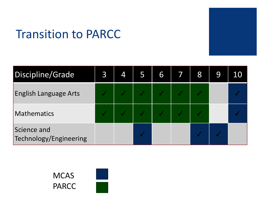#### Transition to PARCC

| Discipline/Grade                      | 4 | 6 | 7 | 8 | 9 | 10 |
|---------------------------------------|---|---|---|---|---|----|
| <b>English Language Arts</b>          |   |   |   |   |   |    |
| <b>Mathematics</b>                    |   |   |   |   |   |    |
| Science and<br>Technology/Engineering |   |   |   |   |   |    |

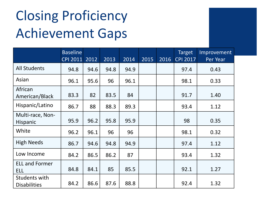# Closing Proficiency Achievement Gaps

|                                      | <b>Baseline</b><br><b>CPI 2011</b> | 2012 | 2013 | 2014 | 2015 | 2016 | <b>Target</b><br><b>CPI 2017</b> | Improvement<br>Per Year |
|--------------------------------------|------------------------------------|------|------|------|------|------|----------------------------------|-------------------------|
| <b>All Students</b>                  | 94.8                               | 94.6 | 94.8 | 94.9 |      |      | 97.4                             | 0.43                    |
| Asian                                | 96.1                               | 95.6 | 96   | 96.1 |      |      | 98.1                             | 0.33                    |
| African<br>American/Black            | 83.3                               | 82   | 83.5 | 84   |      |      | 91.7                             | 1.40                    |
| Hispanic/Latino                      | 86.7                               | 88   | 88.3 | 89.3 |      |      | 93.4                             | 1.12                    |
| Multi-race, Non-<br><b>Hispanic</b>  | 95.9                               | 96.2 | 95.8 | 95.9 |      |      | 98                               | 0.35                    |
| White                                | 96.2                               | 96.1 | 96   | 96   |      |      | 98.1                             | 0.32                    |
| <b>High Needs</b>                    | 86.7                               | 94.6 | 94.8 | 94.9 |      |      | 97.4                             | 1.12                    |
| Low Income                           | 84.2                               | 86.5 | 86.2 | 87   |      |      | 93.4                             | 1.32                    |
| <b>ELL and Former</b><br><b>ELL</b>  | 84.8                               | 84.1 | 85   | 85.5 |      |      | 92.1                             | 1.27                    |
| Students with<br><b>Disabilities</b> | 84.2                               | 86.6 | 87.6 | 88.8 |      |      | 92.4                             | 1.32                    |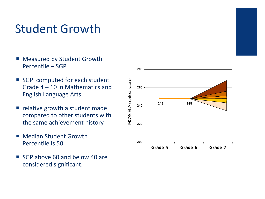## Student Growth

- Measured by Student Growth Percentile – SGP
- SGP computed for each student Grade 4 – 10 in Mathematics and English Language Arts
- $\blacksquare$  relative growth a student made compared to other students with the same achievement history
- Median Student Growth Percentile is 50.
- SGP above 60 and below 40 are considered significant.

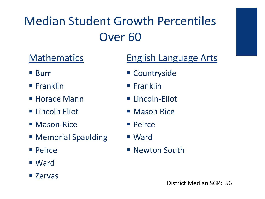# Median Student Growth Percentiles Over 60

#### **Mathematics**

- Burr
- $\blacksquare$  Franklin
- Horace Mann
- **Example 1** Lincoln Eliot
- Mason-Rice
- **Memorial Spaulding**
- **Peirce**
- Ward
- Zervas

#### English Language Arts

- Countryside
- $\blacksquare$  Franklin
- **Example 1** Lincoln-Eliot
- Mason Rice
- **Peirce**
- Ward
- **Newton South**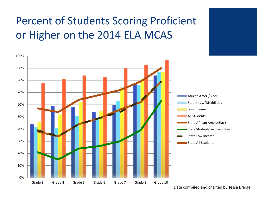### Percent of Students Scoring Proficient or Higher on the 2014 ELA MCAS

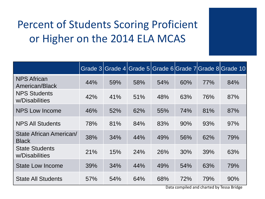#### Percent of Students Scoring Proficient or Higher on the 2014 ELA MCAS

|                                         |     |     |     |     |     |     | Grade 3 Grade 4 Grade 5 Grade 6 Grade 7 Grade 8 Grade 10 |
|-----------------------------------------|-----|-----|-----|-----|-----|-----|----------------------------------------------------------|
| <b>NPS African</b><br>American/Black    | 44% | 59% | 58% | 54% | 60% | 77% | 84%                                                      |
| <b>NPS Students</b><br>w/Disabilities   | 42% | 41% | 51% | 48% | 63% | 76% | 87%                                                      |
| NPS Low Income                          | 46% | 52% | 62% | 55% | 74% | 81% | 87%                                                      |
| <b>NPS All Students</b>                 | 78% | 81% | 84% | 83% | 90% | 93% | 97%                                                      |
| State African American/<br><b>Black</b> | 38% | 34% | 44% | 49% | 56% | 62% | 79%                                                      |
| <b>State Students</b><br>w/Disabilities | 21% | 15% | 24% | 26% | 30% | 39% | 63%                                                      |
| State Low Income                        | 39% | 34% | 44% | 49% | 54% | 63% | 79%                                                      |
| <b>State All Students</b>               | 57% | 54% | 64% | 68% | 72% | 79% | 90%                                                      |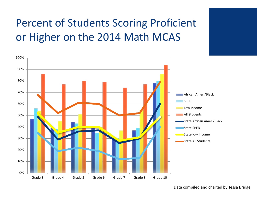## Percent of Students Scoring Proficient or Higher on the 2014 Math MCAS